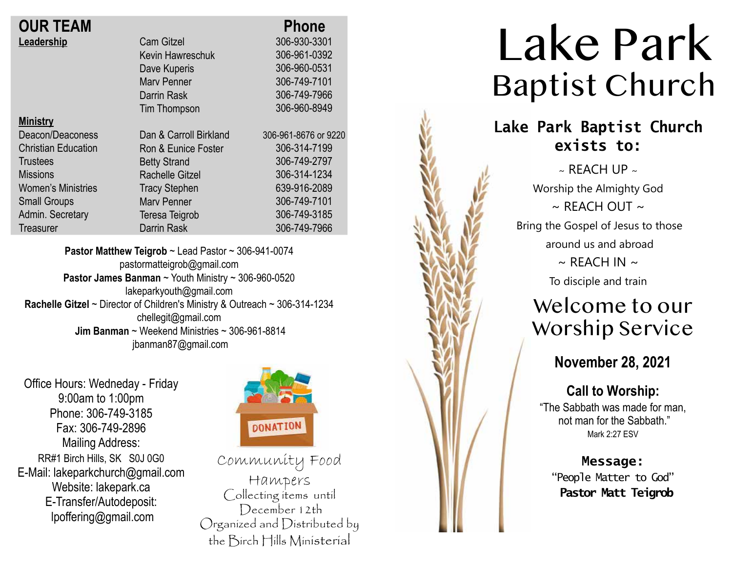| <b>OUR TEAM</b> |  |
|-----------------|--|
| Leadership      |  |

| <b>OUR TEAM</b>            |                        | <b>Phone</b>         |
|----------------------------|------------------------|----------------------|
| Leadership                 | <b>Cam Gitzel</b>      | 306-930-3301         |
|                            | Kevin Hawreschuk       | 306-961-0392         |
|                            | Dave Kuperis           | 306-960-0531         |
|                            | <b>Mary Penner</b>     | 306-749-7101         |
|                            | Darrin Rask            | 306-749-7966         |
|                            | <b>Tim Thompson</b>    | 306-960-8949         |
| <b>Ministry</b>            |                        |                      |
| Deacon/Deaconess           | Dan & Carroll Birkland | 306-961-8676 or 9220 |
| <b>Christian Education</b> | Ron & Eunice Foster    | 306-314-7199         |
| <b>Trustees</b>            | <b>Betty Strand</b>    | 306-749-2797         |
| <b>Missions</b>            | <b>Rachelle Gitzel</b> | 306-314-1234         |
| <b>Women's Ministries</b>  | <b>Tracy Stephen</b>   | 639-916-2089         |
| <b>Small Groups</b>        | <b>Mary Penner</b>     | 306-749-7101         |
| Admin. Secretary           | Teresa Teigrob         | 306-749-3185         |
| Treasurer                  | <b>Darrin Rask</b>     | 306-749-7966         |
|                            |                        |                      |

**Pastor Matthew Teigrob** ~ Lead Pastor ~ 306-941-0074 pastormatteigrob@gmail.com **Pastor James Banman** ~ Youth Ministry ~ 306-960-0520 lakeparkyouth@gmail.com **Rachelle Gitzel** ~ Director of Children's Ministry & Outreach ~ 306-314-1234 chellegit@gmail.com  **Jim Banman** ~ Weekend Ministries ~ 306-961-8814 jbanman87@gmail.com

Office Hours: Wedneday - Friday 9:00am to 1:00pm Phone: 306-749-3185 Fax: 306-749-2896 Mailing Address: RR#1 Birch Hills, SK S0J 0G0 E-Mail: lakeparkchurch@gmail.com Website: lakepark.ca E-Transfer/Autodeposit: lpoffering@gmail.com



Community Food Hampers Collecting items until December 12th Organized and Distributed by the Birch Hills Ministerial